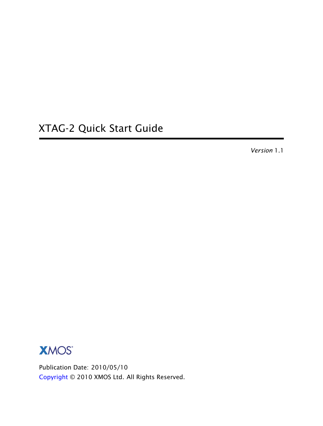# XTAG-2 Quick Start Guide

*Version* 1.1



Publication Date: 2010/05/10 [Copyright](#page-2-0) © 2010 XMOS Ltd. All Rights Reserved.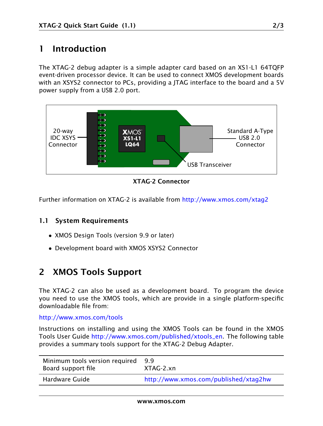## 1 Introduction

The XTAG-2 debug adapter is a simple adapter card based on an XS1-L1 64TQFP event-driven processor device. It can be used to connect XMOS development boards with an XSYS2 connector to PCs, providing a JTAG interface to the board and a 5V power supply from a USB 2.0 port.



XTAG-2 Connector

Further information on XTAG-2 is available from <http://www.xmos.com/xtag2>

#### 1.1 System Requirements

- XMOS Design Tools (version 9.9 or later)
- Development board with XMOS XSYS2 Connector

### 2 XMOS Tools Support

The XTAG-2 can also be used as a development board. To program the device you need to use the XMOS tools, which are provide in a single platform-specific downloadable file from:

<http://www.xmos.com/tools>

Instructions on installing and using the XMOS Tools can be found in the XMOS Tools User Guide [http://www.xmos.com/published/xtools\\_en.](http://www.xmos.com/published/xtools_en) The following table provides a summary tools support for the XTAG-2 Debug Adapter.

| Minimum tools version required | 9.9                                   |
|--------------------------------|---------------------------------------|
| Board support file             | XTAG-2.xn                             |
| Hardware Guide                 | http://www.xmos.com/published/xtag2hw |